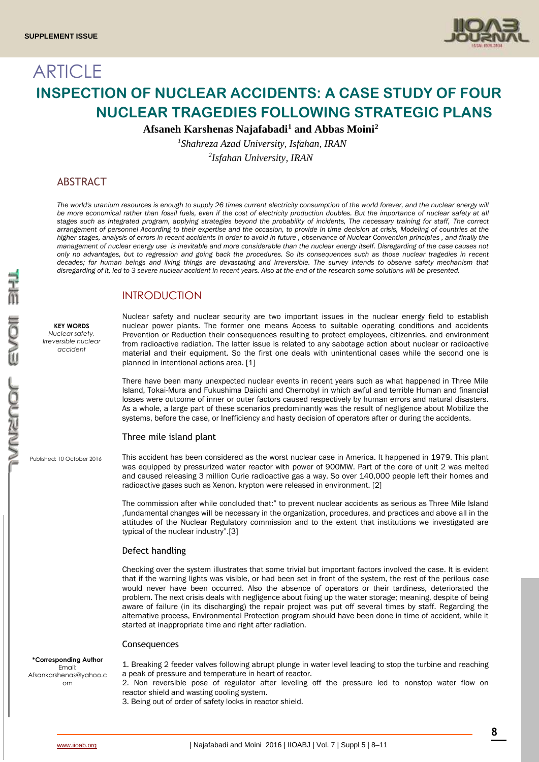

# **ARTICLE INSPECTION OF NUCLEAR ACCIDENTS: A CASE STUDY OF FOUR NUCLEAR TRAGEDIES FOLLOWING STRATEGIC PLANS**

**Afsaneh Karshenas Najafabadi<sup>1</sup> and Abbas Moini<sup>2</sup>**

*1 Shahreza Azad University, Isfahan, IRAN 2 Isfahan University, IRAN*

## ABSTRACT

The world's uranium resources is enough to supply 26 times current electricity consumption of the world forever, and the nuclear energy will *be more economical rather than fossil fuels, even if the cost of electricity production doubles. But the importance of nuclear safety at all stages such as Integrated program, applying strategies beyond the probability of incidents, The necessary training for staff, The correct arrangement of personnel According to their expertise and the occasion, to provide in time decision at crisis, Modeling of countries at the higher stages, analysis of errors in recent accidents in order to avoid in future , observance of Nuclear Convention principles , and finally the management of nuclear energy use is inevitable and more considerable than the nuclear energy itself. Disregarding of the case causes not only no advantages, but to regression and going back the procedures. So its consequences such as those nuclear tragedies in recent decades; for human beings and living things are devastating and Irreversible. The survey intends to observe safety mechanism that disregarding of it, led to 3 severe nuclear accident in recent years. Also at the end of the research some solutions will be presented.*

## INTRODUCTION

**KEY WORDS** *Nuclear safety, Irreversible nuclear accident*

Nuclear safety and nuclear security are two important issues in the nuclear energy field to establish nuclear power plants. The former one means Access to suitable operating conditions and accidents Prevention or Reduction their consequences resulting to protect employees, citizenries, and environment from radioactive radiation. The latter issue is related to any sabotage action about nuclear or radioactive material and their equipment. So the first one deals with unintentional cases while the second one is planned in intentional actions area. [1]

There have been many unexpected nuclear events in recent years such as what happened in Three Mile Island, Tokai-Mura and Fukushima Daiichi and Chernobyl in which awful and terrible Human and financial losses were outcome of inner or outer factors caused respectively by human errors and natural disasters. As a whole, a large part of these scenarios predominantly was the result of negligence about Mobilize the systems, before the case, or Inefficiency and hasty decision of operators after or during the accidents.

## Three mile island plant

Published: 10 October 2016

This accident has been considered as the worst nuclear case in America. It happened in 1979. This plant was equipped by pressurized water reactor with power of 900MW. Part of the core of unit 2 was melted and caused releasing 3 million Curie radioactive gas a way. So over 140,000 people left their homes and radioactive gases such as Xenon, krypton were released in environment. [2]

The commission after while concluded that:" to prevent nuclear accidents as serious as Three Mile Island ,fundamental changes will be necessary in the organization, procedures, and practices and above all in the attitudes of the Nuclear Regulatory commission and to the extent that institutions we investigated are typical of the nuclear industry".[3]

## Defect handling

Checking over the system illustrates that some trivial but important factors involved the case. It is evident that if the warning lights was visible, or had been set in front of the system, the rest of the perilous case would never have been occurred. Also the absence of operators or their tardiness, deteriorated the problem. The next crisis deals with negligence about fixing up the water storage; meaning, despite of being aware of failure (in its discharging) the repair project was put off several times by staff. Regarding the alternative process, Environmental Protection program should have been done in time of accident, while it started at inappropriate time and right after radiation.

### **Consequences**

**\*Corresponding Author** Email: Afsankarshenas@yahoo.c om

1. Breaking 2 feeder valves following abrupt plunge in water level leading to stop the turbine and reaching a peak of pressure and temperature in heart of reactor.

2. Non reversible pose of regulator after leveling off the pressure led to nonstop water flow on reactor shield and wasting cooling system.

3. Being out of order of safety locks in reactor shield.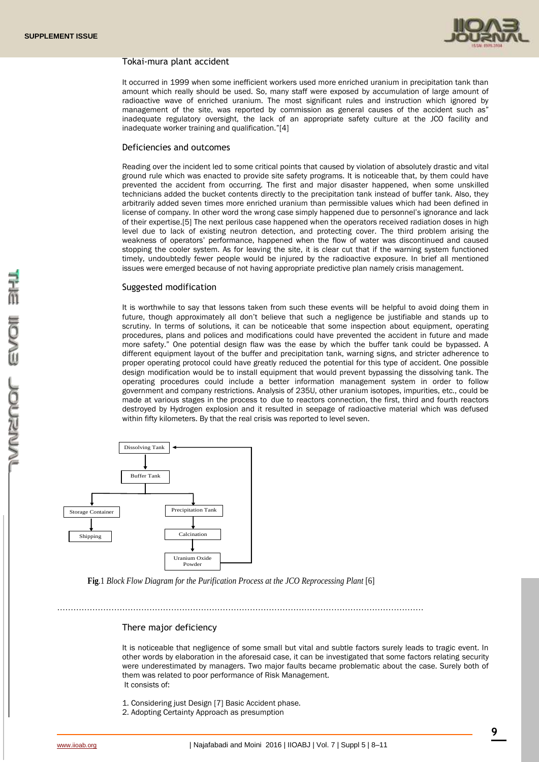

## Tokai-mura plant accident

It occurred in 1999 when some inefficient workers used more enriched uranium in precipitation tank than amount which really should be used. So, many staff were exposed by accumulation of large amount of radioactive wave of enriched uranium. The most significant rules and instruction which ignored by management of the site, was reported by commission as general causes of the accident such as" inadequate regulatory oversight, the lack of an appropriate safety culture at the JCO facility and inadequate worker training and qualification."[4]

### Deficiencies and outcomes

Reading over the incident led to some critical points that caused by violation of absolutely drastic and vital ground rule which was enacted to provide site safety programs. It is noticeable that, by them could have prevented the accident from occurring. The first and major disaster happened, when some unskilled technicians added the bucket contents directly to the precipitation tank instead of buffer tank. Also, they arbitrarily added seven times more enriched uranium than permissible values which had been defined in license of company. In other word the wrong case simply happened due to personnel's ignorance and lack of their expertise.[5] The next perilous case happened when the operators received radiation doses in high level due to lack of existing neutron detection, and protecting cover. The third problem arising the weakness of operators' performance, happened when the flow of water was discontinued and caused stopping the cooler system. As for leaving the site, it is clear cut that if the warning system functioned timely, undoubtedly fewer people would be injured by the radioactive exposure. In brief all mentioned issues were emerged because of not having appropriate predictive plan namely crisis management.

### Suggested modification

It is worthwhile to say that lessons taken from such these events will be helpful to avoid doing them in future, though approximately all don't believe that such a negligence be justifiable and stands up to scrutiny. In terms of solutions, it can be noticeable that some inspection about equipment, operating procedures, plans and polices and modifications could have prevented the accident in future and made more safety." One potential design flaw was the ease by which the buffer tank could be bypassed. A different equipment layout of the buffer and precipitation tank, warning signs, and stricter adherence to proper operating protocol could have greatly reduced the potential for this type of accident. One possible design modification would be to install equipment that would prevent bypassing the dissolving tank. The operating procedures could include a better information management system in order to follow government and company restrictions. Analysis of 235U, other uranium isotopes, impurities, etc., could be made at various stages in the process to due to reactors connection, the first, third and fourth reactors destroyed by Hydrogen explosion and it resulted in seepage of radioactive material which was defused within fifty kilometers. By that the real crisis was reported to level seven.



**Fig**.1 *Block Flow Diagram for the Purification Process at the JCO Reprocessing Plant* [6]

## ………………………………………………………………………………………………………………………

## There major deficiency

It is noticeable that negligence of some small but vital and subtle factors surely leads to tragic event. In other words by elaboration in the aforesaid case, it can be investigated that some factors relating security were underestimated by managers. Two major faults became problematic about the case. Surely both of them was related to poor performance of Risk Management. It consists of:

- 1. Considering just Design [7] Basic Accident phase.
- 2. Adopting Certainty Approach as presumption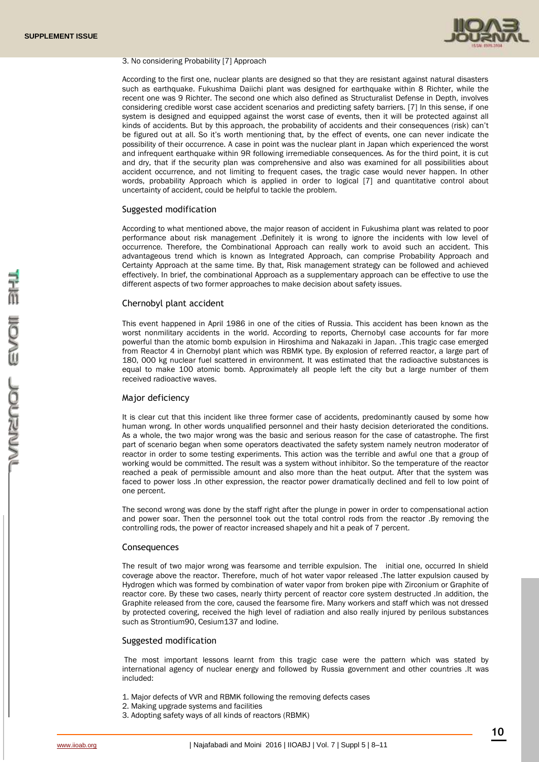

#### 3. No considering Probability [7] Approach

According to the first one, nuclear plants are designed so that they are resistant against natural disasters such as earthquake. Fukushima Daiichi plant was designed for earthquake within 8 Richter, while the recent one was 9 Richter. The second one which also defined as Structuralist Defense in Depth, involves considering credible worst case accident scenarios and predicting safety barriers. [7] In this sense, if one system is designed and equipped against the worst case of events, then it will be protected against all kinds of accidents. But by this approach, the probability of accidents and their consequences (risk) can't be figured out at all. So it's worth mentioning that, by the effect of events, one can never indicate the possibility of their occurrence. A case in point was the nuclear plant in Japan which experienced the worst and infrequent earthquake within 9R following irremediable consequences. As for the third point, it is cut and dry, that if the security plan was comprehensive and also was examined for all possibilities about accident occurrence, and not limiting to frequent cases, the tragic case would never happen. In other words, probability Approach which is applied in order to logical [7] and quantitative control about uncertainty of accident, could be helpful to tackle the problem.

#### Suggested modification

According to what mentioned above, the major reason of accident in Fukushima plant was related to poor performance about risk management .Definitely it is wrong to ignore the incidents with low level of occurrence. Therefore, the Combinational Approach can really work to avoid such an accident. This advantageous trend which is known as Integrated Approach, can comprise Probability Approach and Certainty Approach at the same time. By that, Risk management strategy can be followed and achieved effectively. In brief, the combinational Approach as a supplementary approach can be effective to use the different aspects of two former approaches to make decision about safety issues.

#### Chernobyl plant accident

This event happened in April 1986 in one of the cities of Russia. This accident has been known as the worst nonmilitary accidents in the world. According to reports, Chernobyl case accounts for far more powerful than the atomic bomb expulsion in Hiroshima and Nakazaki in Japan. .This tragic case emerged from Reactor 4 in Chernobyl plant which was RBMK type. By explosion of referred reactor, a large part of 180, 000 kg nuclear fuel scattered in environment. It was estimated that the radioactive substances is equal to make 100 atomic bomb. Approximately all people left the city but a large number of them received radioactive waves.

#### Major deficiency

It is clear cut that this incident like three former case of accidents, predominantly caused by some how human wrong. In other words unqualified personnel and their hasty decision deteriorated the conditions. As a whole, the two major wrong was the basic and serious reason for the case of catastrophe. The first part of scenario began when some operators deactivated the safety system namely neutron moderator of reactor in order to some testing experiments. This action was the terrible and awful one that a group of working would be committed. The result was a system without inhibitor. So the temperature of the reactor reached a peak of permissible amount and also more than the heat output. After that the system was faced to power loss .In other expression, the reactor power dramatically declined and fell to low point of one percent.

The second wrong was done by the staff right after the plunge in power in order to compensational action and power soar. Then the personnel took out the total control rods from the reactor .By removing the controlling rods, the power of reactor increased shapely and hit a peak of 7 percent.

### **Consequences**

The result of two major wrong was fearsome and terrible expulsion. The initial one, occurred In shield coverage above the reactor. Therefore, much of hot water vapor released .The latter expulsion caused by Hydrogen which was formed by combination of water vapor from broken pipe with Zirconium or Graphite of reactor core. By these two cases, nearly thirty percent of reactor core system destructed .In addition, the Graphite released from the core, caused the fearsome fire. Many workers and staff which was not dressed by protected covering, received the high level of radiation and also really injured by perilous substances such as Strontium90, Cesium137 and Iodine.

#### Suggested modification

The most important lessons learnt from this tragic case were the pattern which was stated by international agency of nuclear energy and followed by Russia government and other countries .It was included:

- 1. Major defects of VVR and RBMK following the removing defects cases
- 2. Making upgrade systems and facilities
- 3. Adopting safety ways of all kinds of reactors (RBMK)